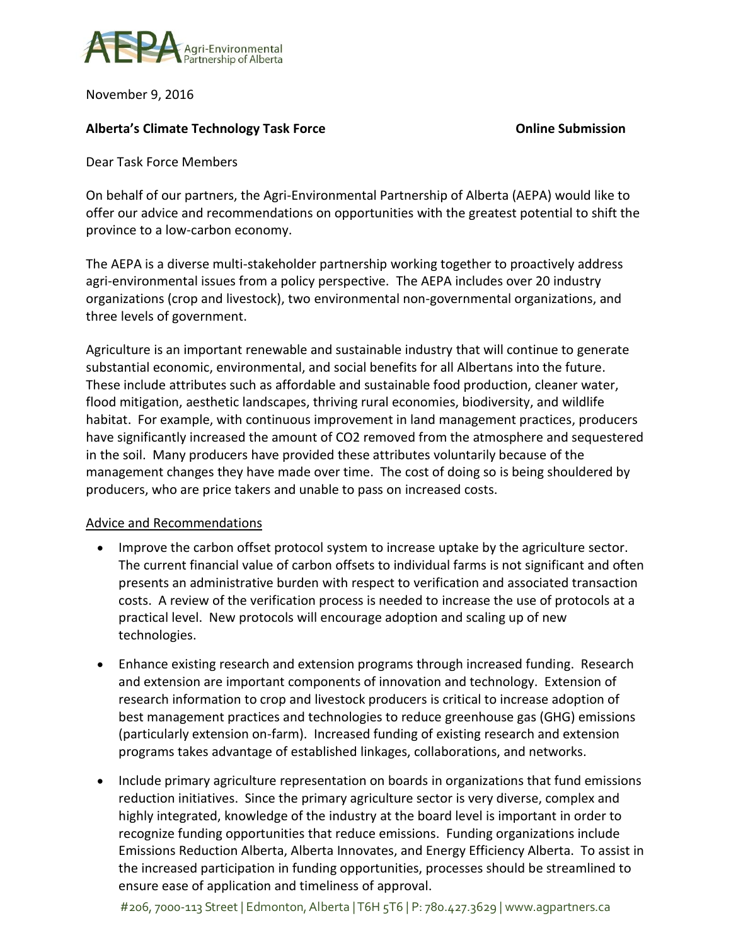

November 9, 2016

## **Alberta's Climate Technology Task Force Online Submission**

Dear Task Force Members

On behalf of our partners, the Agri-Environmental Partnership of Alberta (AEPA) would like to offer our advice and recommendations on opportunities with the greatest potential to shift the province to a low-carbon economy.

The AEPA is a diverse multi-stakeholder partnership working together to proactively address agri-environmental issues from a policy perspective. The AEPA includes over 20 industry organizations (crop and livestock), two environmental non-governmental organizations, and three levels of government.

Agriculture is an important renewable and sustainable industry that will continue to generate substantial economic, environmental, and social benefits for all Albertans into the future. These include attributes such as affordable and sustainable food production, cleaner water, flood mitigation, aesthetic landscapes, thriving rural economies, biodiversity, and wildlife habitat. For example, with continuous improvement in land management practices, producers have significantly increased the amount of CO2 removed from the atmosphere and sequestered in the soil. Many producers have provided these attributes voluntarily because of the management changes they have made over time. The cost of doing so is being shouldered by producers, who are price takers and unable to pass on increased costs.

## Advice and Recommendations

- Improve the carbon offset protocol system to increase uptake by the agriculture sector. The current financial value of carbon offsets to individual farms is not significant and often presents an administrative burden with respect to verification and associated transaction costs. A review of the verification process is needed to increase the use of protocols at a practical level. New protocols will encourage adoption and scaling up of new technologies.
- Enhance existing research and extension programs through increased funding. Research and extension are important components of innovation and technology. Extension of research information to crop and livestock producers is critical to increase adoption of best management practices and technologies to reduce greenhouse gas (GHG) emissions (particularly extension on-farm). Increased funding of existing research and extension programs takes advantage of established linkages, collaborations, and networks.
- Include primary agriculture representation on boards in organizations that fund emissions reduction initiatives. Since the primary agriculture sector is very diverse, complex and highly integrated, knowledge of the industry at the board level is important in order to recognize funding opportunities that reduce emissions. Funding organizations include Emissions Reduction Alberta, Alberta Innovates, and Energy Efficiency Alberta. To assist in the increased participation in funding opportunities, processes should be streamlined to ensure ease of application and timeliness of approval.

#206, 7000-113 Street | Edmonton, Alberta | T6H 5T6 | P: 780.427.3629 | www.agpartners.ca